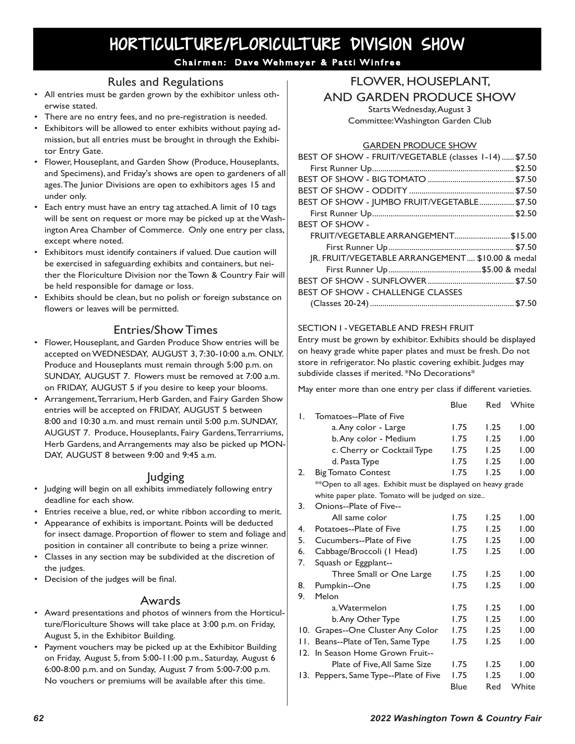# HORTICULTURE/FLORICULTURE DIVISION SHOW

## Chairmen: Dave Wehmeyer & Patti Winfree

# Rules and Regulations

- All entries must be garden grown by the exhibitor unless otherwise stated.
- There are no entry fees, and no pre-registration is needed.
- Exhibitors will be allowed to enter exhibits without paying admission, but all entries must be brought in through the Exhibitor Entry Gate.
- Flower, Houseplant, and Garden Show (Produce, Houseplants, and Specimens), and Friday's shows are open to gardeners of all ages. The Junior Divisions are open to exhibitors ages 15 and under only.
- Each entry must have an entry tag attached. A limit of 10 tags will be sent on request or more may be picked up at the Washington Area Chamber of Commerce. Only one entry per class, except where noted.
- Exhibitors must identify containers if valued. Due caution will be exercised in safeguarding exhibits and containers, but neither the Floriculture Division nor the Town & Country Fair will be held responsible for damage or loss.
- Exhibits should be clean, but no polish or foreign substance on flowers or leaves will be permitted.

# Entries/Show Times

- Flower, Houseplant, and Garden Produce Show entries will be accepted on WEDNESDAY, AUGUST 3, 7:30-10:00 a.m. ONLY. Produce and Houseplants must remain through 5:00 p.m. on SUNDAY, AUGUST 7. Flowers must be removed at 7:00 a.m. on FRIDAY, AUGUST 5 if you desire to keep your blooms.
- Arrangement, Terrarium, Herb Garden, and Fairy Garden Show entries will be accepted on FRIDAY, AUGUST 5 between 8:00 and 10:30 a.m. and must remain until 5:00 p.m. SUNDAY, AUGUST 7. Produce, Houseplants, Fairy Gardens, Terrarriums, Herb Gardens, and Arrangements may also be picked up MON-DAY, AUGUST 8 between 9:00 and 9:45 a.m.

# Judging

- Judging will begin on all exhibits immediately following entry deadline for each show.
- Entries receive a blue, red, or white ribbon according to merit.
- Appearance of exhibits is important. Points will be deducted for insect damage. Proportion of flower to stem and foliage and position in container all contribute to being a prize winner.
- Classes in any section may be subdivided at the discretion of the judges.
- Decision of the judges will be final.

### Awards

- Award presentations and photos of winners from the Horticulture/Floriculture Shows will take place at 3:00 p.m. on Friday, August 5, in the Exhibitor Building.
- Payment vouchers may be picked up at the Exhibitor Building on Friday, August 5, from 5:00-11:00 p.m., Saturday, August 6 6:00-8:00 p.m. and on Sunday, August 7 from 5:00-7:00 p.m. No vouchers or premiums will be available after this time.

# FLOWER, HOUSEPLANT, AND GARDEN PRODUCE SHOW

Starts Wednesday, August 3 Committee: Washington Garden Club

#### GARDEN PRODUCE SHOW

| BEST OF SHOW - FRUIT/VEGETABLE (classes 1-14)  \$7.50 |
|-------------------------------------------------------|
|                                                       |
|                                                       |
|                                                       |
| BEST OF SHOW - JUMBO FRUIT/VEGETABLE\$7.50            |
|                                                       |
| <b>BEST OF SHOW -</b>                                 |
| FRUIT/VEGETABLE ARRANGEMENT \$15.00                   |
|                                                       |
| JR. FRUIT/VEGETABLE ARRANGEMENT \$10.00 & medal       |
|                                                       |
|                                                       |
| <b>BEST OF SHOW - CHALLENGE CLASSES</b>               |
|                                                       |

#### SECTION I - VEGETABLE AND FRESH FRUIT

Entry must be grown by exhibitor. Exhibits should be displayed on heavy grade white paper plates and must be fresh. Do not store in refrigerator. No plastic covering exhibit. Judges may subdivide classes if merited. \*No Decorations\*

May enter more than one entry per class if different varieties.

|    |                                                              | Blue | Red  | White |
|----|--------------------------------------------------------------|------|------|-------|
| Ι. | Tomatoes--Plate of Five                                      |      |      |       |
|    | a. Any color - Large                                         | 1.75 | 1.25 | 1.00  |
|    | b. Any color - Medium                                        | 1.75 | 1.25 | 1.00  |
|    | c. Cherry or Cocktail Type                                   | I.75 | 1.25 | 1.00  |
|    | d. Pasta Type                                                | 1.75 | 1.25 | 1.00  |
| 2. | <b>Big Tomato Contest</b>                                    | 1.75 | 1.25 | 1.00  |
|    | **Open to all ages. Exhibit must be displayed on heavy grade |      |      |       |
|    | white paper plate. Tomato will be judged on size             |      |      |       |
| 3. | Onions--Plate of Five--                                      |      |      |       |
|    | All same color                                               | 1.75 | 1.25 | 1.00  |
| 4. | Potatoes--Plate of Five                                      | 1.75 | 1.25 | 1.00  |
| 5. | Cucumbers--Plate of Five                                     | 1.75 | 1.25 | 1.00  |
| 6. | Cabbage/Broccoli (I Head)                                    | 1.75 | 1.25 | 1.00  |
| 7. | Squash or Eggplant--                                         |      |      |       |
|    | Three Small or One Large                                     | 1.75 | 1.25 | 1.00  |
| 8. | Pumpkin--One                                                 | 1.75 | 1.25 | 1.00  |
| 9. | Melon                                                        |      |      |       |
|    | a. Watermelon                                                | 1.75 | 1.25 | 1.00  |
|    | b. Any Other Type                                            | 1.75 | 1.25 | 1.00  |
|    | 10. Grapes--One Cluster Any Color                            | 1.75 | 1.25 | 1.00  |
| H. | Beans--Plate of Ten, Same Type                               | 1.75 | 1.25 | 1.00  |
|    | 12. In Season Home Grown Fruit--                             |      |      |       |
|    | Plate of Five, All Same Size                                 | I.75 | 1.25 | 1.00  |
|    | 13. Peppers, Same Type--Plate of Five                        | 1.75 | 1.25 | 1.00  |
|    |                                                              | Blue | Red  | White |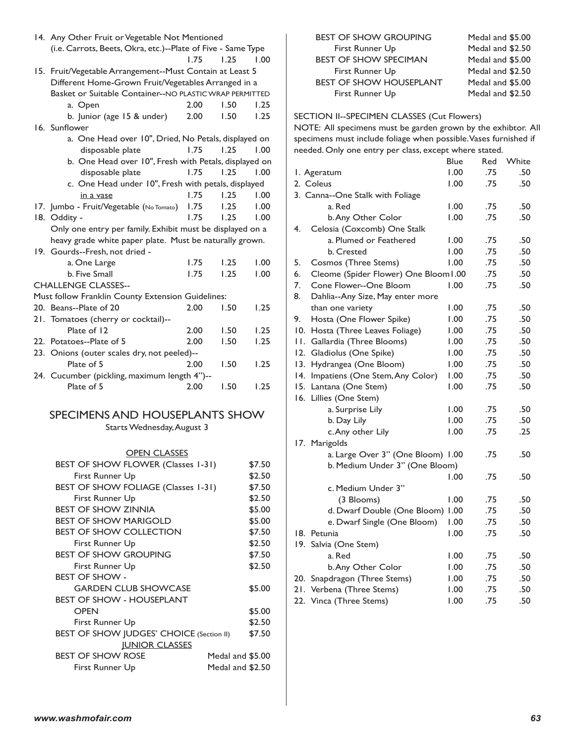|                                | (i.e. Carrots, Beets, Okra, etc.)--Plate of Five - Same Type |                                                       |      |                  |        |
|--------------------------------|--------------------------------------------------------------|-------------------------------------------------------|------|------------------|--------|
|                                |                                                              |                                                       | 1.75 | 1.25             | 1.00   |
|                                | 15. Fruit/Vegetable Arrangement--Must Contain at Least 5     |                                                       |      |                  |        |
|                                | Different Home-Grown Fruit/Vegetables Arranged in a          |                                                       |      |                  |        |
|                                | Basket or Suitable Container--NO PLASTIC WRAP PERMITTED      |                                                       |      |                  |        |
|                                | a. Open                                                      |                                                       | 2.00 | 1.50             | 1.25   |
|                                | b. Junior (age 15 & under)                                   |                                                       | 2.00 | 1.50             | 1.25   |
|                                | 16. Sunflower                                                |                                                       |      |                  |        |
|                                |                                                              | a. One Head over 10", Dried, No Petals, displayed on  |      |                  |        |
|                                | disposable plate                                             |                                                       | 1.75 | 1.25             | 1.00   |
|                                |                                                              | b. One Head over 10", Fresh with Petals, displayed on |      |                  |        |
|                                | disposable plate                                             |                                                       | 1.75 | 1.25             | 1.00   |
|                                |                                                              | c. One Head under 10", Fresh with petals, displayed   |      |                  |        |
|                                | in a vase                                                    |                                                       | 1.75 | 1.25             | 1.00   |
|                                | 17. Jumbo - Fruit/Vegetable (No Tomato)                      |                                                       | 1.75 | 1.25             | 1.00   |
|                                | 18. Oddity -                                                 |                                                       | 1.75 | 1.25             | 1.00   |
|                                | Only one entry per family. Exhibit must be displayed on a    |                                                       |      |                  |        |
|                                | heavy grade white paper plate. Must be naturally grown.      |                                                       |      |                  |        |
|                                | 19. Gourds--Fresh, not dried -                               |                                                       |      |                  |        |
|                                |                                                              |                                                       |      | 1.25             | 1.00   |
|                                | a. One Large                                                 |                                                       | 1.75 |                  |        |
|                                | b. Five Small                                                |                                                       | 1.75 | 1.25             | 1.00   |
|                                | <b>CHALLENGE CLASSES--</b>                                   |                                                       |      |                  |        |
|                                | Must follow Franklin County Extension Guidelines:            |                                                       |      |                  |        |
|                                | 20. Beans--Plate of 20                                       |                                                       | 2.00 | 1.50             | 1.25   |
|                                | 21. Tomatoes (cherry or cocktail)--                          |                                                       |      |                  |        |
|                                | Plate of 12                                                  |                                                       | 2.00 | 1.50             | 1.25   |
|                                | 22. Potatoes--Plate of 5                                     |                                                       | 2.00 | 1.50             | 1.25   |
|                                | 23. Onions (outer scales dry, not peeled)--                  |                                                       |      |                  |        |
|                                | Plate of 5                                                   |                                                       | 2.00 | 1.50             | 1.25   |
|                                | 24. Cucumber (pickling, maximum length 4")--                 |                                                       |      |                  |        |
|                                | Plate of 5                                                   |                                                       | 2.00 | 1.50             | 1.25   |
|                                |                                                              |                                                       |      |                  |        |
| SPECIMENS AND HOUSEPLANTS SHOW |                                                              |                                                       |      |                  |        |
| Starts Wednesday, August 3     |                                                              |                                                       |      |                  |        |
|                                |                                                              |                                                       |      |                  |        |
|                                |                                                              |                                                       |      |                  |        |
|                                |                                                              | <b>OPEN CLASSES</b>                                   |      |                  |        |
|                                | BEST OF SHOW FLOWER (Classes 1-31)                           |                                                       |      |                  | \$7.50 |
|                                | First Runner Up                                              |                                                       |      |                  | \$2.50 |
|                                | BEST OF SHOW FOLIAGE (Classes 1-31)                          |                                                       |      |                  | \$7.50 |
|                                | First Runner Up                                              |                                                       |      |                  | \$2.50 |
|                                | <b>BEST OF SHOW ZINNIA</b>                                   |                                                       |      |                  | \$5.00 |
|                                | <b>BEST OF SHOW MARIGOLD</b>                                 |                                                       |      |                  | \$5.00 |
|                                | <b>BEST OF SHOW COLLECTION</b>                               |                                                       |      |                  | \$7.50 |
|                                | First Runner Up                                              |                                                       |      |                  | \$2.50 |
|                                | <b>BEST OF SHOW GROUPING</b>                                 |                                                       |      |                  | \$7.50 |
|                                | First Runner Up                                              |                                                       |      |                  | \$2.50 |
|                                | BEST OF SHOW -                                               |                                                       |      |                  |        |
|                                |                                                              | <b>GARDEN CLUB SHOWCASE</b>                           |      |                  | \$5.00 |
|                                | <b>BEST OF SHOW - HOUSEPLANT</b>                             |                                                       |      |                  |        |
|                                | <b>OPEN</b>                                                  |                                                       |      |                  | \$5.00 |
|                                | First Runner Up                                              |                                                       |      |                  | \$2.50 |
|                                | BEST OF SHOW JUDGES' CHOICE (Section II)                     |                                                       |      |                  |        |
|                                |                                                              |                                                       |      |                  | \$7.50 |
|                                |                                                              | <b>JUNIOR CLASSES</b>                                 |      |                  |        |
|                                | <b>BEST OF SHOW ROSE</b>                                     |                                                       |      | Medal and \$5.00 |        |

First Runner Up Medal and \$2.50

14. Any Other Fruit or Vegetable Not Mentioned

| <b>BEST OF SHOW GROUPING</b>   | Medal and \$5.00 |
|--------------------------------|------------------|
| First Runner Up                | Medal and \$2.50 |
| <b>BEST OF SHOW SPECIMAN</b>   | Medal and \$5.00 |
| First Runner Up                | Medal and \$2.50 |
| <b>BEST OF SHOW HOUSEPLANT</b> | Medal and \$5.00 |
| First Runner Up                | Medal and \$2.50 |

#### SECTION II--SPECIMEN CLASSES (Cut Flowers)

NOTE: All specimens must be garden grown by the exhibtor. All specimens must include foliage when possible. Vases furnished if needed. Only one entry per class, except where stated.

|             |                                       | <b>Blue</b> | Red | White |
|-------------|---------------------------------------|-------------|-----|-------|
| I. Ageratum |                                       | 1.00        | .75 | .50   |
|             | 2. Coleus                             | 0.00        | .75 | .50   |
|             | 3. Canna--One Stalk with Foliage      |             |     |       |
|             | a. Red                                | 1.00        | .75 | .50   |
|             | b. Any Other Color                    | 0.00        | .75 | .50   |
| 4.          | Celosia (Coxcomb) One Stalk           |             |     |       |
|             | a. Plumed or Feathered                | 1.00        | .75 | .50   |
|             | b. Crested                            | 1.00        | .75 | .50   |
| 5.          | Cosmos (Three Stems)                  | 1.00        | .75 | .50   |
| 6.          | Cleome (Spider Flower) One Bloom I.00 |             | .75 | .50   |
| 7.          | Cone Flower--One Bloom                | 00.1        | .75 | .50   |
| 8.          | Dahlia--Any Size, May enter more      |             |     |       |
|             | than one variety                      | 1.00        | .75 | .50   |
| 9.          | Hosta (One Flower Spike)              | 1.00        | .75 | .50   |
| 10.         | Hosta (Three Leaves Foliage)          | 1.00        | .75 | .50   |
| П.          | Gallardia (Three Blooms)              | 1.00        | .75 | .50   |
| 12.         | Gladiolus (One Spike)                 | 1.00        | .75 | .50   |
| 13.         | Hydrangea (One Bloom)                 | 1.00        | .75 | .50   |
| 14.         | Impatiens (One Stem, Any Color)       | 00.1        | .75 | .50   |
| 15.         | Lantana (One Stem)                    | 00.1        | .75 | .50   |
| 16.         | Lillies (One Stem)                    |             |     |       |
|             | a. Surprise Lily                      | 1.00        | .75 | .50   |
|             | b. Day Lily                           | 00.1        | .75 | .50   |
|             | c. Any other Lily                     | 1.00        | .75 | .25   |
|             | 17. Marigolds                         |             |     |       |
|             | a. Large Over 3" (One Bloom) 1.00     |             | .75 | .50   |
|             | b. Medium Under 3" (One Bloom)        |             |     |       |
|             |                                       | 00.1        | .75 | .50   |
|             | c. Medium Under 3"                    |             |     |       |
|             | (3 Blooms)                            | 1.00        | .75 | .50   |
|             | d. Dwarf Double (One Bloom)           | 1.00        | .75 | .50   |
|             | e. Dwarf Single (One Bloom)           | 00.1        | .75 | .50   |
|             | 18. Petunia                           | 00.1        | .75 | .50   |
| 19.         | Salvia (One Stem)                     |             |     |       |
|             | a. Red                                | 1.00        | .75 | .50   |
|             | b. Any Other Color                    | 1.00        | .75 | .50   |
|             | 20. Snapdragon (Three Stems)          | 1.00        | .75 | .50   |
|             | 21. Verbena (Three Stems)             | 0.00        | .75 | .50   |
| 22.         | Vinca (Three Stems)                   | 1.00        | .75 | .50   |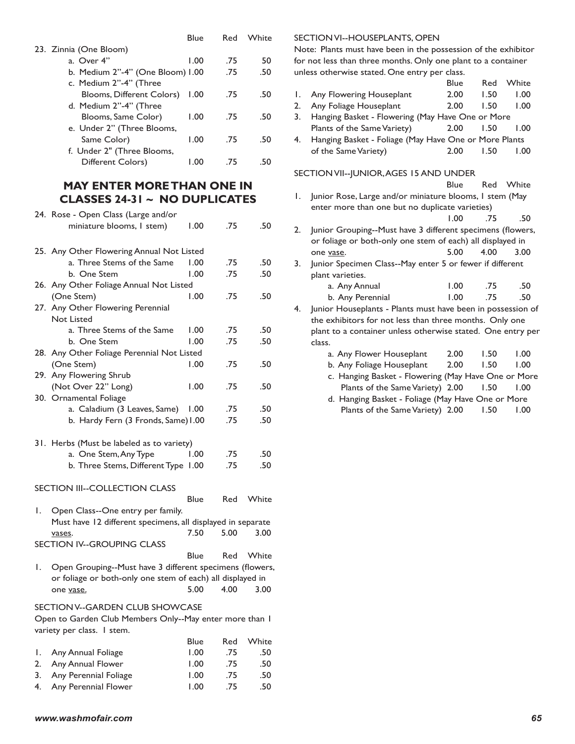|                                  | Blue | Red | White |
|----------------------------------|------|-----|-------|
| 23. Zinnia (One Bloom)           |      |     |       |
| a. Over 4"                       | 1.00 | .75 | 50    |
| b. Medium 2"-4" (One Bloom) I.00 |      | .75 | .50   |
| c. Medium 2"-4" (Three           |      |     |       |
| Blooms, Different Colors)        | 1.00 | .75 | .50   |
| d. Medium 2"-4" (Three           |      |     |       |
| Blooms, Same Color)              | 1.00 | .75 | .50   |
| e. Under 2" (Three Blooms,       |      |     |       |
| Same Color)                      | 1.00 | .75 | .50   |
| f. Under 2" (Three Blooms,       |      |     |       |
| Different Colors)                | 1.00 | .75 | 50    |
|                                  |      |     |       |

# **MAY ENTER MORE THAN ONE IN CLASSES 24-31 ~ NO DUPLICATES**

|    | 24. Rose - Open Class (Large and/or                         |      |      |       |
|----|-------------------------------------------------------------|------|------|-------|
|    | miniature blooms, I stem)                                   | 1.00 | .75  | .50   |
|    |                                                             |      |      |       |
|    | 25. Any Other Flowering Annual Not Listed                   |      |      |       |
|    | a. Three Stems of the Same                                  | 1.00 | .75  | .50   |
|    | b. One Stem                                                 | 1.00 | .75  | .50   |
|    | 26. Any Other Foliage Annual Not Listed                     |      |      |       |
|    | (One Stem)                                                  | 00.1 | .75  | .50   |
|    | 27. Any Other Flowering Perennial                           |      |      |       |
|    | <b>Not Listed</b>                                           |      |      |       |
|    | a. Three Stems of the Same                                  | 00.1 | .75  | .50   |
|    | b.  One Stem                                                | 1.00 | .75  | .50   |
|    | 28. Any Other Foliage Perennial Not Listed                  |      |      |       |
|    | (One Stem)                                                  | 1.00 | .75  | .50   |
|    | 29. Any Flowering Shrub                                     |      |      |       |
|    | (Not Over 22" Long)                                         | 1.00 | .75  | .50   |
|    | 30. Ornamental Foliage                                      |      |      |       |
|    | a. Caladium (3 Leaves, Same)                                | 1.00 | .75  | .50   |
|    | b. Hardy Fern (3 Fronds, Same) I.00                         |      | .75  | .50   |
|    |                                                             |      |      |       |
|    | 31. Herbs (Must be labeled as to variety)                   |      |      |       |
|    | a. One Stem, Any Type                                       | 1.00 | .75  | .50   |
|    | b. Three Stems, Different Type 1.00                         |      | .75  | .50   |
|    |                                                             |      |      |       |
|    | SECTION III--COLLECTION CLASS                               |      |      |       |
|    |                                                             | Blue | Red  | White |
| Ι. | Open Class--One entry per family.                           |      |      |       |
|    | Must have 12 different specimens, all displayed in separate |      |      |       |
|    | vases.                                                      | 7.50 | 5.00 | 3.00  |
|    | SECTION IV--GROUPING CLASS                                  |      |      |       |
|    |                                                             | Blue | Red  | White |
| Ι. | Open Grouping--Must have 3 different specimens (flowers,    |      |      |       |
|    | or foliage or both-only one stem of each) all displayed in  |      |      |       |
|    | one vase.                                                   | 5.00 | 4.00 | 3.00  |
|    |                                                             |      |      |       |
|    | SECTION V--GARDEN CLUB SHOWCASE                             |      |      |       |
|    | Open to Garden Club Members Only--May enter more than I     |      |      |       |
|    | variety per class. I stem.                                  |      |      |       |
|    |                                                             | Blue | Red  | White |
| Ι. | Any Annual Foliage                                          | 1.00 | .75  | .50   |
| 2. | Any Annual Flower                                           | 1.00 | .75  | .50   |

3. Any Perennial Foliage 1.00 .75 .50 4. Any Perennial Flower 1.00 .75 .50

#### SECTION VI--HOUSEPLANTS, OPEN

Note: Plants must have been in the possession of the exhibitor for not less than three months. Only one plant to a container unless otherwise stated. One entry per class.

|    |                                                             | Blue | Red  | White |  |
|----|-------------------------------------------------------------|------|------|-------|--|
| Ι. | Any Flowering Houseplant                                    | 2.00 | 1.50 | 1.00  |  |
| 2. | Any Foliage Houseplant                                      | 2.00 | 1.50 | 1.00  |  |
| 3. | Hanging Basket - Flowering (May Have One or More            |      |      |       |  |
|    | Plants of the Same Variety)                                 | 2.00 | 1.50 | 1.00  |  |
| 4. | Hanging Basket - Foliage (May Have One or More Plants       |      |      |       |  |
|    | of the Same Variety)                                        | 2.00 | 1.50 | 1.00  |  |
|    | SECTION VII--JUNIOR, AGES 15 AND UNDER                      |      |      |       |  |
|    |                                                             | Blue | Red  | White |  |
| Ι. | Junior Rose, Large and/or miniature blooms, I stem (May     |      |      |       |  |
|    | enter more than one but no duplicate varieties)             |      |      |       |  |
|    |                                                             | 1.00 | .75  | .50   |  |
| 2. | Junior Grouping--Must have 3 different specimens (flowers,  |      |      |       |  |
|    | or foliage or both-only one stem of each) all displayed in  |      |      |       |  |
|    | one vase.                                                   | 5.00 | 4.00 | 3.00  |  |
| 3. | Junior Specimen Class--May enter 5 or fewer if different    |      |      |       |  |
|    | plant varieties.                                            |      |      |       |  |
|    | a. Any Annual                                               | 1.00 | .75  | .50   |  |
|    | b. Any Perennial                                            | 1.00 | .75  | .50   |  |
| 4. | Junior Houseplants - Plants must have been in possession of |      |      |       |  |
|    | the exhibitors for not less than three months. Only one     |      |      |       |  |
|    | plant to a container unless otherwise stated. One entry per |      |      |       |  |
|    | class.                                                      |      |      |       |  |
|    | a. Any Flower Houseplant                                    | 2.00 | 1.50 | 1.00  |  |
|    | b. Any Foliage Houseplant                                   | 2.00 | 1.50 | 1.00  |  |
|    | c. Hanging Basket - Flowering (May Have One or More         |      |      |       |  |
|    | Plants of the Same Variety) 2.00                            |      | 1.50 | 1.00  |  |

 d. Hanging Basket - Foliage (May Have One or More Plants of the Same Variety) 2.00 1.50 1.00